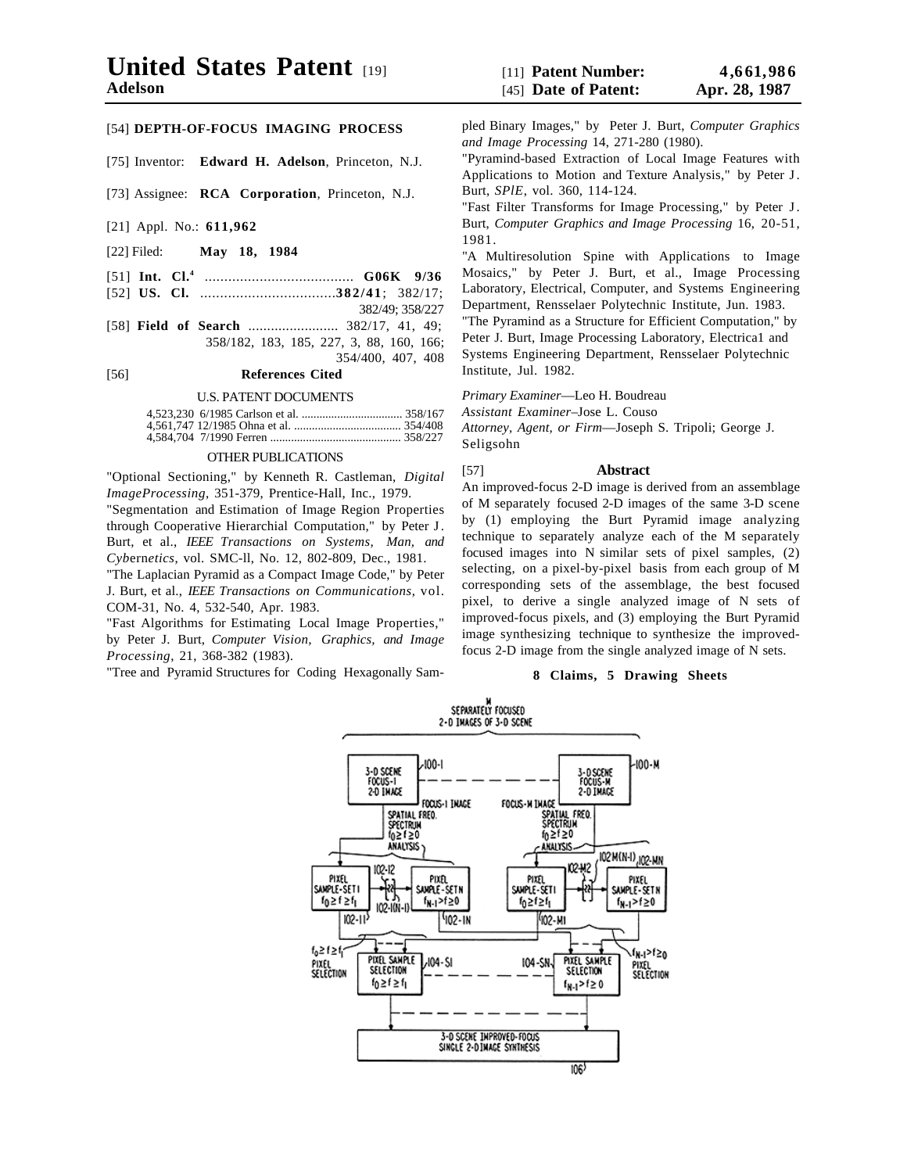[75] Inventor: **Edward H. Adelson**, Princeton, N.J.

[73] Assignee: **RCA Corporation**, Princeton, N.J.

- [21] Appl. No.: **611,962**
- [22] Filed: **May 18, 1984**
- [51] **Int. Cl.4** ...................................... **G06K 9/36**
- [52] **US. Cl.** ..................................**382/41**; 382/17;
	- 382/49; 358/227
- [58] **Field of Search** ........................ 382/17, 41, 49; 358/182, 183, 185, 227, 3, 88, 160, 166;

354/400, 407, 408 [56] **References Cited**

#### U.S. PATENT DOCUMENTS

### OTHER PUBLICATIONS

"Optional Sectioning," by Kenneth R. Castleman, *Digital ImageProcessing*, 351-379, Prentice-Hall, Inc., 1979.

"Segmentation and Estimation of Image Region Properties through Cooperative Hierarchial Computation," by Peter J. Burt, et al., *IEEE Transactions on Systems, Man, and Cyb*ern*etics*, vol. SMC-ll, No. 12, 802-809, Dec., 1981.

"The Laplacian Pyramid as a Compact Image Code," by Peter J. Burt, et al., *IEEE Transactions on Communications*, vol. COM-31, No. 4, 532-540, Apr. 1983.

"Fast Algorithms for Estimating Local Image Properties," by Peter J. Burt, *Computer Vision, Graphics, and Image Processing*, 21, 368-382 (1983).

"Tree and Pyramid Structures for Coding Hexagonally Sam-

pled Binary Images," by Peter J. Burt, *Computer Graphics and Image Processing* 14, 271-280 (1980).

"Pyramind-based Extraction of Local Image Features with Applications to Motion and Texture Analysis," by Peter J. Burt, *SPlE*, vol. 360, 114-124.

"Fast Filter Transforms for Image Processing," by Peter J. Burt, *Computer Graphics and Image Processing* 16, 20-51, 1981.

"A Multiresolution Spine with Applications to Image Mosaics," by Peter J. Burt, et al., Image Processing Laboratory, Electrical, Computer, and Systems Engineering Department, Rensselaer Polytechnic Institute, Jun. 1983.

"The Pyramind as a Structure for Efficient Computation," by Peter J. Burt, Image Processing Laboratory, Electrica1 and Systems Engineering Department, Rensselaer Polytechnic Institute, Jul. 1982.

*Primary Examiner*—Leo H. Boudreau

*Assistant Examiner*–Jose L. Couso

*Attorney, Agent, or Firm*—Joseph S. Tripoli; George J. Seligsohn

# [57] **Abstract**

An improved-focus 2-D image is derived from an assemblage of M separately focused 2-D images of the same 3-D scene by (1) employing the Burt Pyramid image analyzing technique to separately analyze each of the M separately focused images into N similar sets of pixel samples, (2) selecting, on a pixel-by-pixel basis from each group of M corresponding sets of the assemblage, the best focused pixel, to derive a single analyzed image of N sets of improved-focus pixels, and (3) employing the Burt Pyramid image synthesizing technique to synthesize the improvedfocus 2-D image from the single analyzed image of N sets.

## **8 Claims, 5 Drawing Sheets**

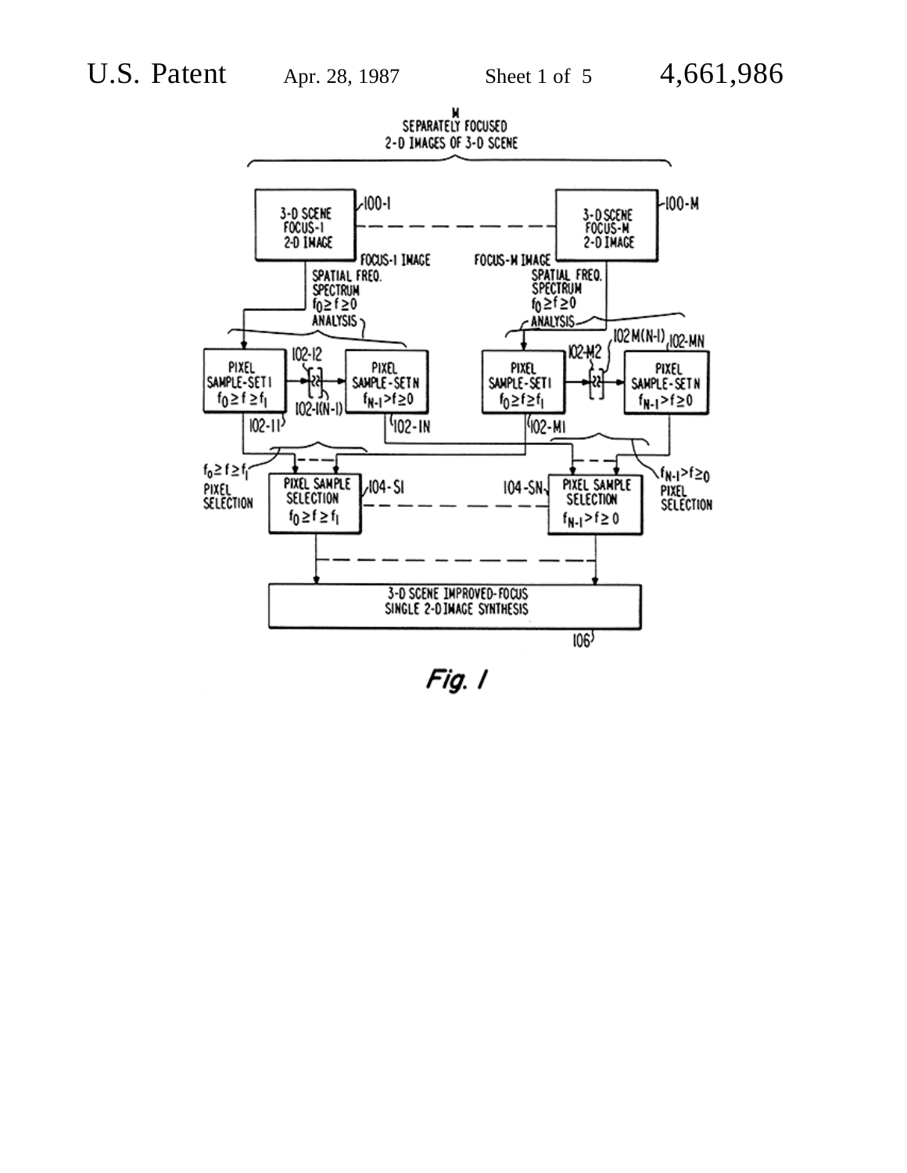

Fig. I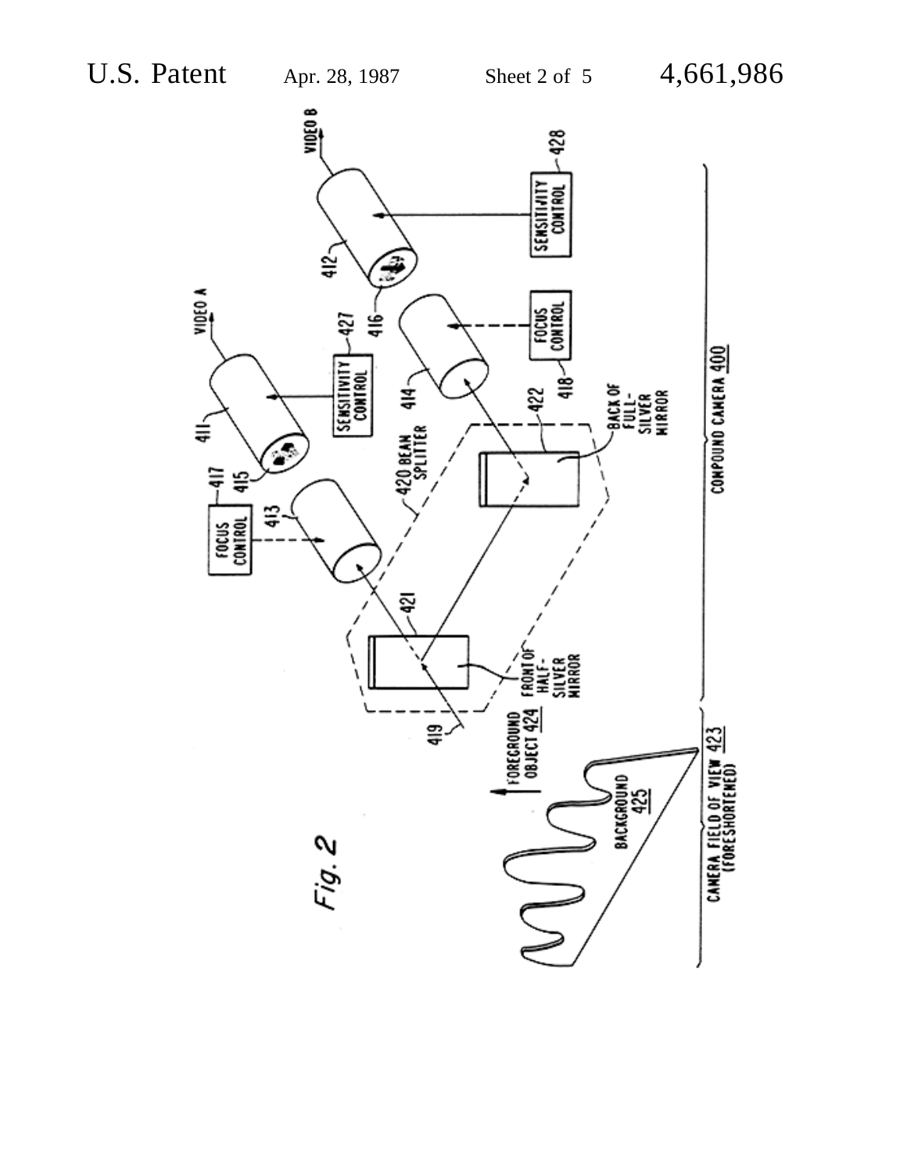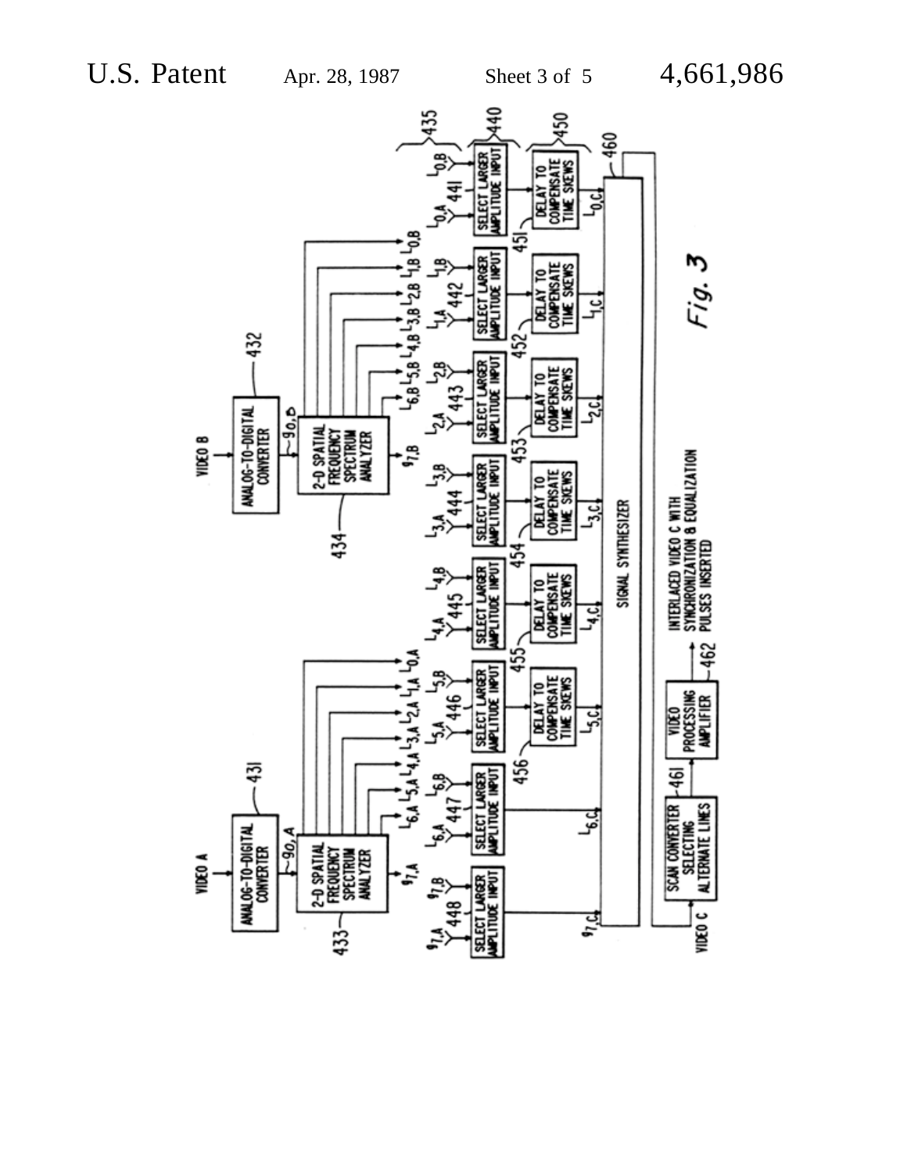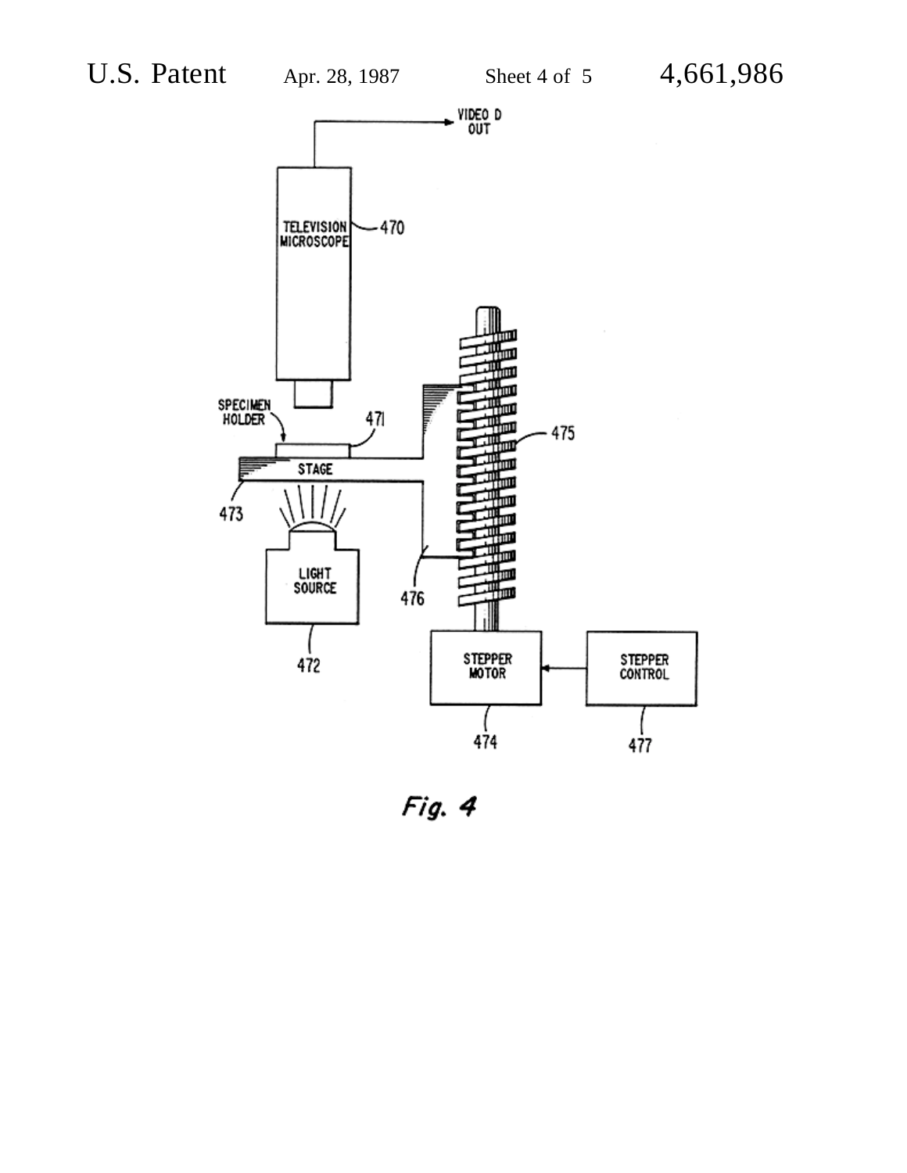

Fig. 4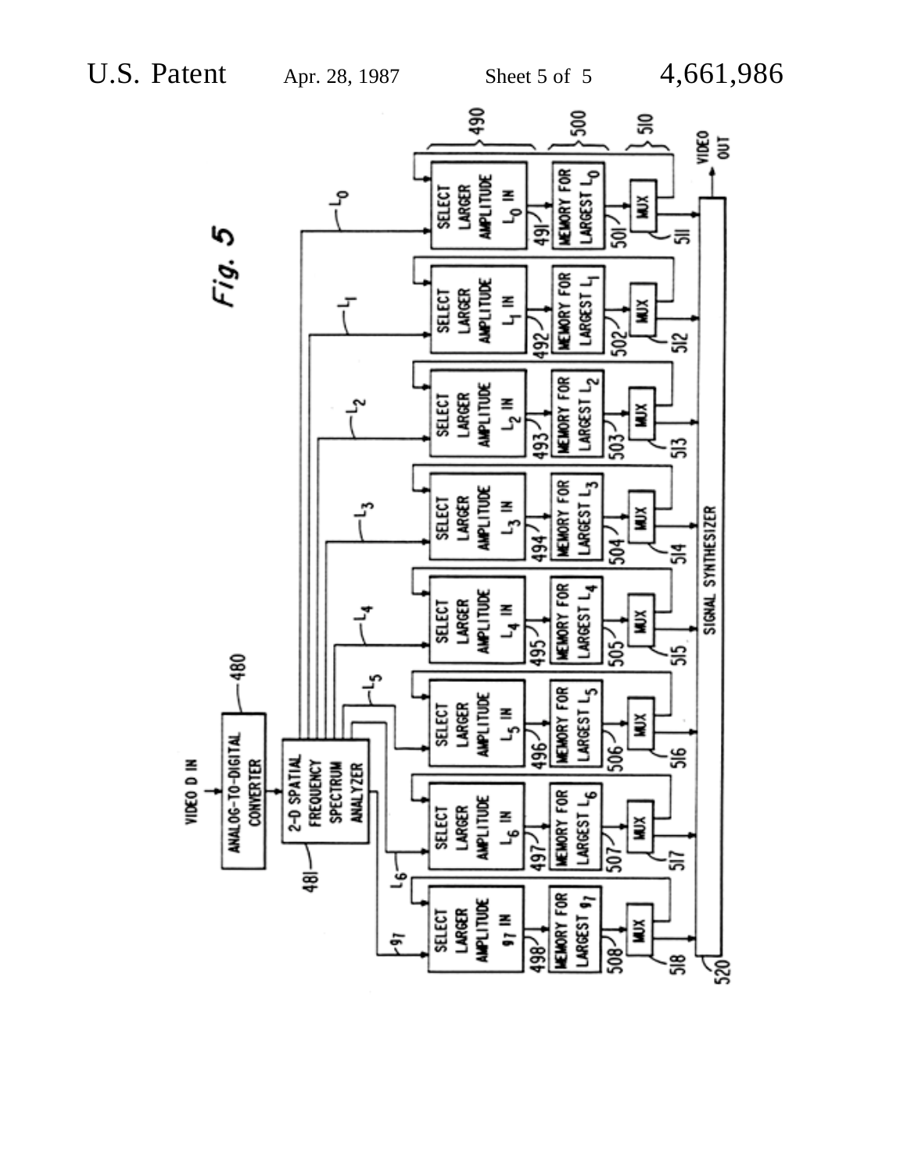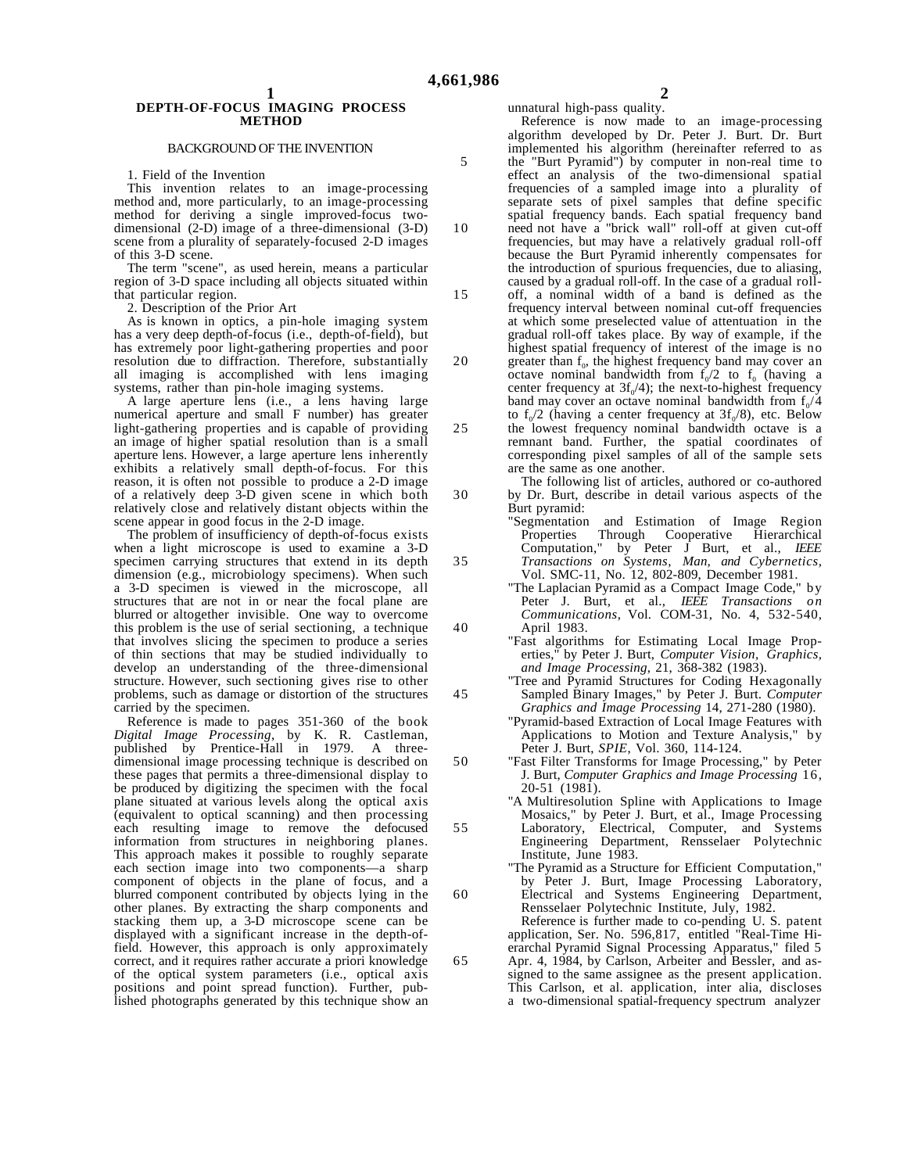10

25

30

35

40

45

50

55

60

65

# **DEPTH-OF-FOCUS IMAGING PROCESS METHOD**

### BACKGROUND OF THE INVENTION

1. Field of the Invention

This invention relates to an image-processing method and, more particularly, to an image-processing method for deriving a single improved-focus twodimensional (2-D) image of a three-dimensional (3-D) scene from a plurality of separately-focused 2-D images of this 3-D scene.

The term "scene", as used herein, means a particular region of 3-D space including all objects situated within that particular region.

2. Description of the Prior Art

As is known in optics, a pin-hole imaging system has a very deep depth-of-focus (i.e., depth-of-field), but has extremely poor light-gathering properties and poor resolution due to diffraction. Therefore, substantially all imaging is accomplished with lens imaging systems, rather than pin-hole imaging systems.

A large aperture lens (i.e., a lens having large numerical aperture and small F number) has greater light-gathering properties and is capable of providing an image of higher spatial resolution than is a small aperture lens. However, a large aperture lens inherently exhibits a relatively small depth-of-focus. For this reason, it is often not possible to produce a 2-D image of a relatively deep 3-D given scene in which both relatively close and relatively distant objects within the scene appear in good focus in the 2-D image.

The problem of insufficiency of depth-of-focus exists when a light microscope is used to examine a 3-D specimen carrying structures that extend in its depth dimension (e.g., microbiology specimens). When such a 3-D specimen is viewed in the microscope, all structures that are not in or near the focal plane are blurred or altogether invisible. One way to overcome this problem is the use of serial sectioning, a technique that involves slicing the specimen to produce a series of thin sections that may be studied individually to develop an understanding of the three-dimensional structure. However, such sectioning gives rise to other problems, such as damage or distortion of the structures carried by the specimen.

Reference is made to pages 351-360 of the book *Digital Image Processing*, by K. R. Castleman, published by Prentice-Hall in  $1979$ . dimensional image processing technique is described on these pages that permits a three-dimensional display to be produced by digitizing the specimen with the focal plane situated at various levels along the optical axis (equivalent to optical scanning) and then processing each resulting image to remove the defocused information from structures in neighboring planes. This approach makes it possible to roughly separate each section image into two components—a sharp component of objects in the plane of focus, and a blurred component contributed by objects lying in the other planes. By extracting the sharp components and stacking them up, a 3-D microscope scene can be displayed with a significant increase in the depth-offield. However, this approach is only approximately correct, and it requires rather accurate a priori knowledge of the optical system parameters (i.e., optical axis positions and point spread function). Further, published photographs generated by this technique show an

unnatural high-pass quality.

Reference is now made to an image-processing algorithm developed by Dr. Peter J. Burt. Dr. Burt implemented his algorithm (hereinafter referred to as the "Burt Pyramid") by computer in non-real time to effect an analysis of the two-dimensional spatial frequencies of a sampled image into a plurality of separate sets of pixel samples that define specific spatial frequency bands. Each spatial frequency band

need not have a "brick wall" roll-off at given cut-off frequencies, but may have a relatively gradual roll-off because the Burt Pyramid inherently compensates for the introduction of spurious frequencies, due to aliasing, caused by a gradual roll-off. In the case of a gradual roll-

- 15 20 off, a nominal width of a band is defined as the frequency interval between nominal cut-off frequencies at which some preselected value of attentuation in the gradual roll-off takes place. By way of example, if the highest spatial frequency of interest of the image is no
	- greater than  $f_0$ , the highest frequency band may cover an octave nominal bandwidth from  $f_0/2$  to  $f_0$  (having a center frequency at  $3f_0/4$ ); the next-to-highest frequency band may cover an octave nominal bandwidth from  $f_0/4$ to  $f_0/2$  (having a center frequency at  $3f_0/8$ ), etc. Below

the lowest frequency nominal bandwidth octave is a remnant band. Further, the spatial coordinates of corresponding pixel samples of all of the sample sets are the same as one another.

The following list of articles, authored or co-authored by Dr. Burt, describe in detail various aspects of the Burt pyramid:

"Segmentation and Estimation of Image Region Properties Through Cooperative Hierarchical Computation," by Peter J Burt, et al., *IEEE Transactions on Systems, Man, and Cybernetics,* Vol. SMC-11, No. 12, 802-809, December 1981.

"The Laplacian Pyramid as a Compact Image Code," by Peter J. Burt, et al., *IEEE Transactions on Communications,* Vol. COM-31, No. 4, 532-540, April 1983.

"Fast algorithms for Estimating Local Image Properties," by Peter J. Burt, *Computer Vision, Graphics, and Image Processing*, 21, 368-382 (1983).

"Tree and Pyramid Structures for Coding Hexagonally Sampled Binary Images," by Peter J. Burt. *Computer Graphics and Image Processing* 14, 271-280 (1980).

"Pyramid-based Extraction of Local Image Features with Applications to Motion and Texture Analysis," by Peter J. Burt, *SPIE*, Vol. 360, 114-124.

"Fast Filter Transforms for Image Processing," by Peter J. Burt, *Computer Graphics and Image Processing* 16, 20-51 (1981).

"A Multiresolution Spline with Applications to Image Mosaics," by Peter J. Burt, et al., Image Processing Laboratory, Electrical, Computer, and Systems Engineering Department, Rensselaer Polytechnic Institute, June 1983.

"The Pyramid as a Structure for Efficient Computation," by Peter J. Burt, Image Processing Laboratory, Electrical and Systems Engineering Department, Rensselaer Polytechnic Institute, July, 1982. Reference is further made to co-pending U. S. patent application, Ser. No. 596,817, entitled "Real-Time Hierarchal Pyramid Signal Processing Apparatus," filed 5 Apr. 4, 1984, by Carlson, Arbeiter and Bessler, and as-

signed to the same assignee as the present application. This Carlson, et al. application, inter alia, discloses a two-dimensional spatial-frequency spectrum analyzer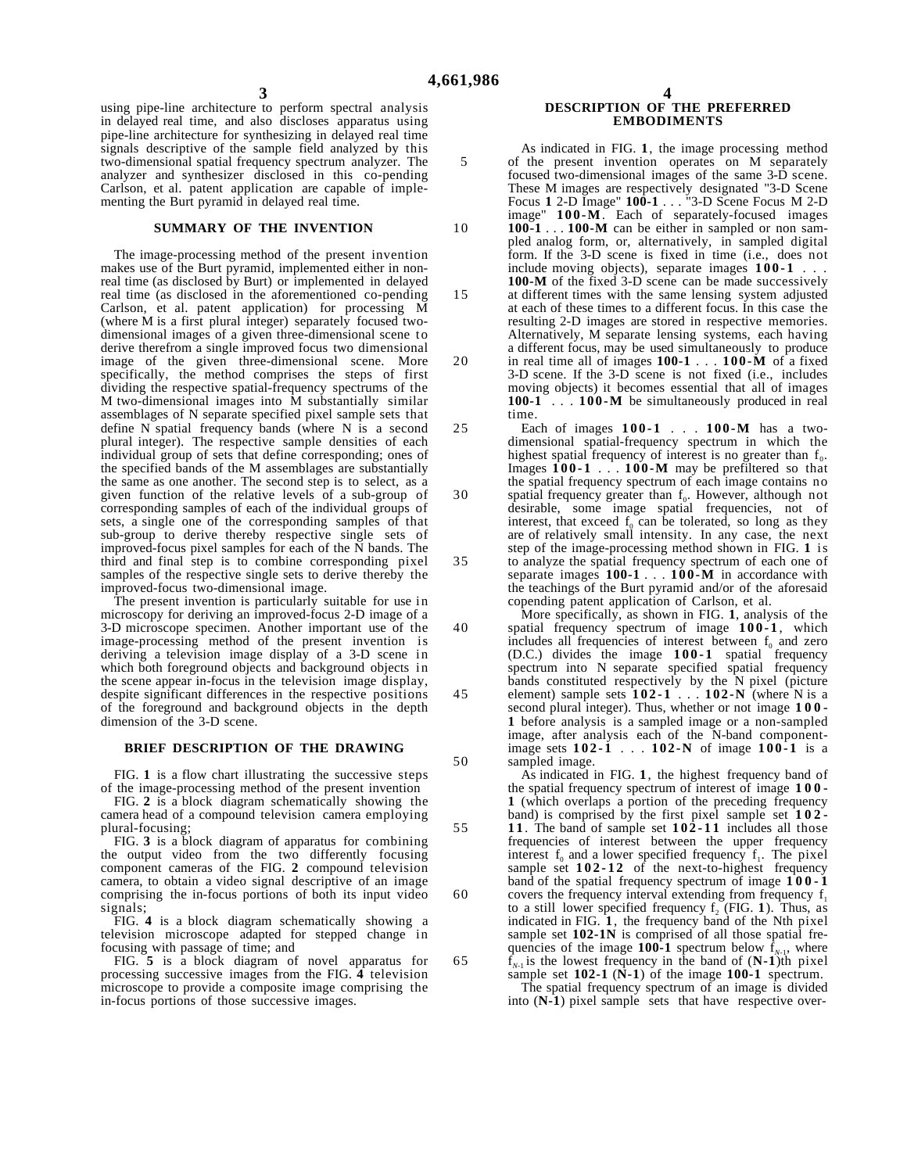10

20

using pipe-line architecture to perform spectral analysis in delayed real time, and also discloses apparatus using pipe-line architecture for synthesizing in delayed real time signals descriptive of the sample field analyzed by this two-dimensional spatial frequency spectrum analyzer. The analyzer and synthesizer disclosed in this co-pending Carlson, et al. patent application are capable of implementing the Burt pyramid in delayed real time.

# **SUMMARY OF THE INVENTION**

The image-processing method of the present invention makes use of the Burt pyramid, implemented either in nonreal time (as disclosed by Burt) or implemented in delayed real time (as disclosed in the aforementioned co-pending Carlson, et al. patent application) for processing M (where M is a first plural integer) separately focused twodimensional images of a given three-dimensional scene to derive therefrom a single improved focus two dimensional image of the given three-dimensional scene. More specifically, the method comprises the steps of first dividing the respective spatial-frequency spectrums of the M two-dimensional images into M substantially similar assemblages of N separate specified pixel sample sets that define N spatial frequency bands (where N is a second plural integer). The respective sample densities of each individual group of sets that define corresponding; ones of the specified bands of the M assemblages are substantially the same as one another. The second step is to select, as a given function of the relative levels of a sub-group of corresponding samples of each of the individual groups of sets, a single one of the corresponding samples of that sub-group to derive thereby respective single sets of improved-focus pixel samples for each of the N bands. The third and final step is to combine corresponding pixel samples of the respective single sets to derive thereby the improved-focus two-dimensional image.

The present invention is particularly suitable for use in microscopy for deriving an improved-focus 2-D image of a 3-D microscope specimen. Another important use of the image-processing method of the present invention is deriving a television image display of a 3-D scene in which both foreground objects and background objects in the scene appear in-focus in the television image display, despite significant differences in the respective positions of the foreground and background objects in the depth dimension of the 3-D scene.

### **BRIEF DESCRIPTION OF THE DRAWING**

FIG. **1** is a flow chart illustrating the successive steps of the image-processing method of the present invention

FIG. **2** is a block diagram schematically showing the camera head of a compound television camera employing plural-focusing;

FIG. **3** is a block diagram of apparatus for combining the output video from the two differently focusing component cameras of the FIG. **2** compound television camera, to obtain a video signal descriptive of an image comprising the in-focus portions of both its input video signals;

FIG. **4** is a block diagram schematically showing a television microscope adapted for stepped change in focusing with passage of time; and

FIG. **5** is a block diagram of novel apparatus for processing successive images from the FIG. **4** television microscope to provide a composite image comprising the in-focus portions of those successive images.

### **4 DESCRIPTION OF THE PREFERRED EMBODIMENTS**

As indicated in FIG. **1**, the image processing method of the present invention operates on M separately focused two-dimensional images of the same 3-D scene. These M images are respectively designated "3-D Scene Focus **1** 2-D Image" **100-1** . . . "3-D Scene Focus M 2-D image" **100-M**. Each of separately-focused images **100-1** . . . **100-M** can be either in sampled or non sampled analog form, or, alternatively, in sampled digital

- 15 form. If the 3-D scene is fixed in time (i.e., does not include moving objects), separate images **100-1** . . . **100-M** of the fixed 3-D scene can be made successively at different times with the same lensing system adjusted at each of these times to a different focus. In this case the resulting 2-D images are stored in respective memories. Alternatively, M separate lensing systems, each having a different focus, may be used simultaneously to produce
	- in real time all of images **100-1** . . . **100-M** of a fixed 3-D scene. If the 3-D scene is not fixed (i.e., includes moving objects) it becomes essential that all of images **100-1** . . . **100-M** be simultaneously produced in real time.

25 30 35 Each of images **100-1** . . . **100-M** has a twodimensional spatial-frequency spectrum in which the highest spatial frequency of interest is no greater than  $f_0$ . Images **100-1** . . . **100-M** may be prefiltered so that the spatial frequency spectrum of each image contains no spatial frequency greater than  $f_0$ . However, although not desirable, some image spatial frequencies, not of interest, that exceed  $f_0$  can be tolerated, so long as they are of relatively small intensity. In any case, the next step of the image-processing method shown in FIG. **1** is to analyze the spatial frequency spectrum of each one of separate images **100-1** . . . **100-M** in accordance with the teachings of the Burt pyramid and/or of the aforesaid copending patent application of Carlson, et al.

More specifically, as shown in FIG. **1**, analysis of the spatial frequency spectrum of image **100-1** , which includes all frequencies of interest between  $f_0$  and zero  $(D.C.)$  divides the image  $100-1$  spatial frequency spectrum into N separate specified spatial frequency bands constituted respectively by the N pixel (picture element) sample sets **102-1** . . . **102-N** (where N is a second plural integer). Thus, whether or not image **100- 1** before analysis is a sampled image or a non-sampled image, after analysis each of the N-band componentimage sets **102-1** . . . **102-N** of image **100-1** is a sampled image.

As indicated in FIG. **1**, the highest frequency band of the spatial frequency spectrum of interest of image **100- 1** (which overlaps a portion of the preceding frequency band) is comprised by the first pixel sample set **102-**

- 55 **1 1** . The band of sample set **102-11** includes all those frequencies of interest between the upper frequency interest  $f_0$  and a lower specified frequency  $f_1$ . The pixel sample set **102-12** of the next-to-highest frequency band of the spatial frequency spectrum of image **100-1**
	- covers the frequency interval extending from frequency  $f_1$ to a still lower specified frequency  $f_2$  (FIG. 1). Thus, as indicated in FIG. **1**, the frequency band of the Nth pixel sample set **102-1N** is comprised of all those spatial frequencies of the image **100-1** spectrum below  $\mathbf{f}_{N-1}$ , where  $f_{N-1}$  is the lowest frequency in the band of  $(N-1)$ th pixel

sample set  $102-1$  ( $\dot{N}-1$ ) of the image  $100-1$  spectrum. The spatial frequency spectrum of an image is divided

into  $(N-1)$  pixel sample sets that have respective over-

40

45

50

60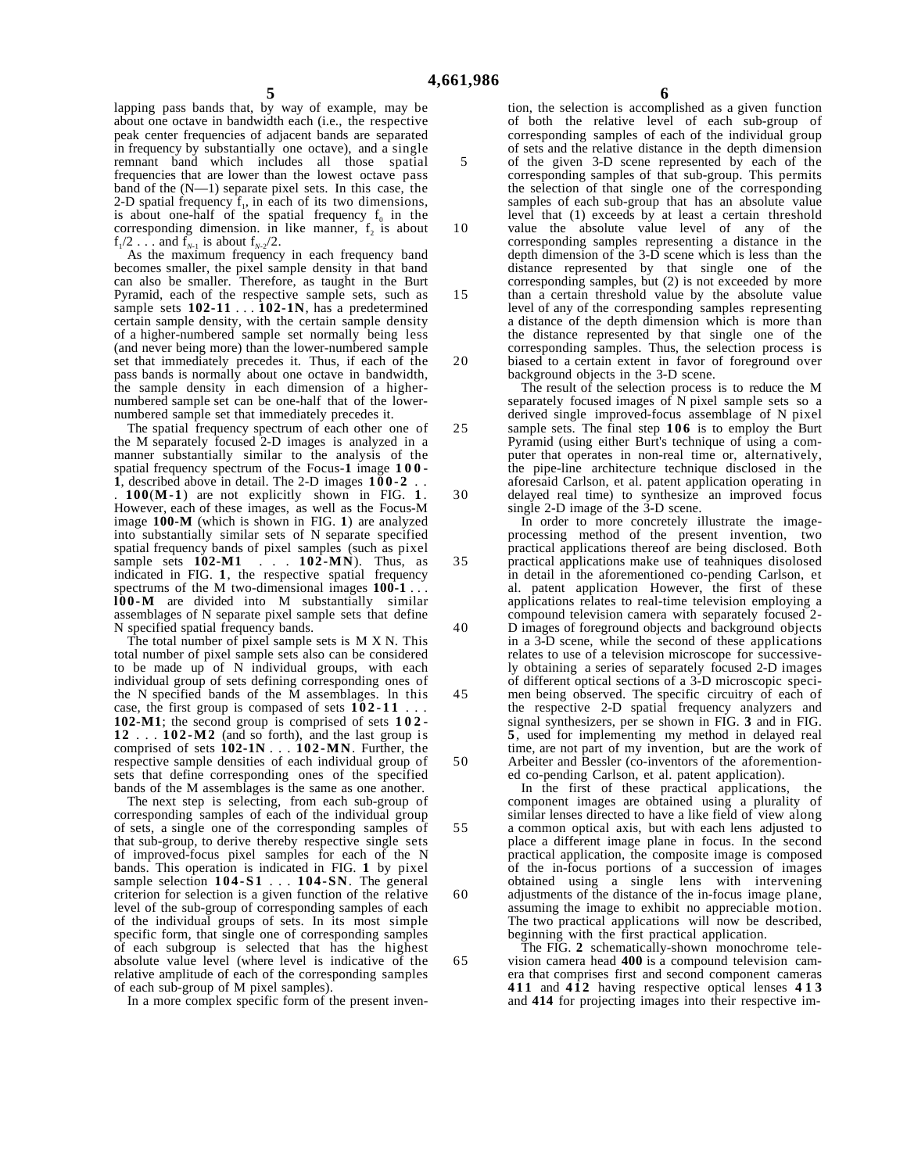10

15

20

25

30

35

40

45

55

60

lapping pass bands that, by way of example, may be about one octave in bandwidth each (i.e., the respective peak center frequencies of adjacent bands are separated in frequency by substantially one octave), and a single remnant band which includes all those spatial frequencies that are lower than the lowest octave pass band of the  $(N-1)$  separate pixel sets. In this case, the 2-D spatial frequency  $f_1$ , in each of its two dimensions, is about one-half of the spatial frequency  $f_0$  in the corresponding dimension. in like manner,  $f_2$  is about  $f_1/2$ ... and  $f_{N-1}$  is about  $f_{N-2}/2$ .

As the maximum frequency in each frequency band becomes smaller, the pixel sample density in that band can also be smaller. Therefore, as taught in the Burt Pyramid, each of the respective sample sets, such as sample sets **102-11** . . . **102-1N**, has a predetermined certain sample density, with the certain sample density of a higher-numbered sample set normally being less (and never being more) than the lower-numbered sample set that immediately precedes it. Thus, if each of the pass bands is normally about one octave in bandwidth, the sample density in each dimension of a highernumbered sample set can be one-half that of the lowernumbered sample set that immediately precedes it.

The spatial frequency spectrum of each other one of the M separately focused 2-D images is analyzed in a manner substantially similar to the analysis of the spatial frequency spectrum of the Focus-**1** image **100- 1**, described above in detail. The 2-D images  $100-2$ .

. **100**(**M-1**) are not explicitly shown in FIG. **1** . However, each of these images, as well as the Focus-M image **100-M** (which is shown in FIG. **1**) are analyzed into substantially similar sets of N separate specified spatial frequency bands of pixel samples (such as pixel sample sets **102-M1** . . . **102-MN**). Thus, as indicated in FIG. **1**, the respective spatial frequency spectrums of the M two-dimensional images **100-1** . . . **l00-M** are divided into M substantially similar assemblages of N separate pixel sample sets that define N specified spatial frequency bands.

The total number of pixel sample sets is  $M X N$ . This total number of pixel sample sets also can be considered to be made up of N individual groups, with each individual group of sets defining corresponding ones of the N specified bands of the M assemblages. ln this case, the first group is compased of sets  $102-11$ **102-M1**; the second group is comprised of sets **102- 12** . . . **102-M2** (and so forth), and the last group is comprised of sets **102-1N** . . . **102-MN**. Further, the respective sample densities of each individual group of sets that define corresponding ones of the specified bands of the M assemblages is the same as one another.

The next step is selecting, from each sub-group of corresponding samples of each of the individual group of sets, a single one of the corresponding samples of that sub-group, to derive thereby respective single sets of improved-focus pixel samples for each of the N bands. This operation is indicated in FIG. **1** by pixel sample selection **104-S1** . . . **104-SN**. The general criterion for selection is a given function of the relative level of the sub-group of corresponding samples of each of the individual groups of sets. In its most simple specific form, that single one of corresponding samples of each subgroup is selected that has the highest absolute value level (where level is indicative of the relative amplitude of each of the corresponding samples of each sub-group of M pixel samples).

In a more complex specific form of the present inven-

**6**

tion, the selection is accomplished as a given function of both the relative level of each sub-group of corresponding samples of each of the individual group of sets and the relative distance in the depth dimension of the given 3-D scene represented by each of the corresponding samples of that sub-group. This permits the selection of that single one of the corresponding samples of each sub-group that has an absolute value level that (1) exceeds by at least a certain threshold value the absolute value level of any of the corresponding samples representing a distance in the depth dimension of the 3-D scene which is less than the distance represented by that single one of the corresponding samples, but (2) is not exceeded by more than a certain threshold value by the absolute value level of any of the corresponding samples representing a distance of the depth dimension which is more than the distance represented by that single one of the

corresponding samples. Thus, the selection process is biased to a certain extent in favor of foreground over background objects in the 3-D scene.

The result of the selection process is to reduce the M separately focused images of N pixel sample sets so a derived single improved-focus assemblage of N pixel sample sets. The final step **106** is to employ the Burt Pyramid (using either Burt's technique of using a computer that operates in non-real time or, alternatively, the pipe-line architecture technique disclosed in the aforesaid Carlson, et al. patent application operating in delayed real time) to synthesize an improved focus single 2-D image of the 3-D scene.

In order to more concretely illustrate the imageprocessing method of the present invention, two practical applications thereof are being disclosed. Both practical applications make use of teahniques disolosed in detail in the aforementioned co-pending Carlson, et al. patent application However, the first of these applications relates to real-time television employing a compound television camera with separately focused 2-

50 D images of foreground objects and background objects in a 3-D scene, while the second of these applications relates to use of a television microscope for successively obtaining a series of separately focused 2-D images of different optical sections of a 3-D microscopic specimen being observed. The specific circuitry of each of the respective 2-D spatial frequency analyzers and signal synthesizers, per se shown in FIG. **3** and in FIG. **5**, used for implementing my method in delayed real time, are not part of my invention, but are the work of Arbeiter and Bessler (co-inventors of the aforementioned co-pending Carlson, et al. patent application).

In the first of these practical applications, the component images are obtained using a plurality of similar lenses directed to have a like field of view along a common optical axis, but with each lens adjusted to place a different image plane in focus. In the second practical application, the composite image is composed of the in-focus portions of a succession of images obtained using a single lens with intervening adjustments of the distance of the in-focus image plane, assuming the image to exhibit no appreciable motion. The two practical applications will now be described, beginning with the first practical application.

The FIG. **2** schematically-shown monochrome television camera head **400** is a compound television camera that comprises first and second component cameras **411** and **412** having respective optical lenses **413** and **414** for projecting images into their respective im-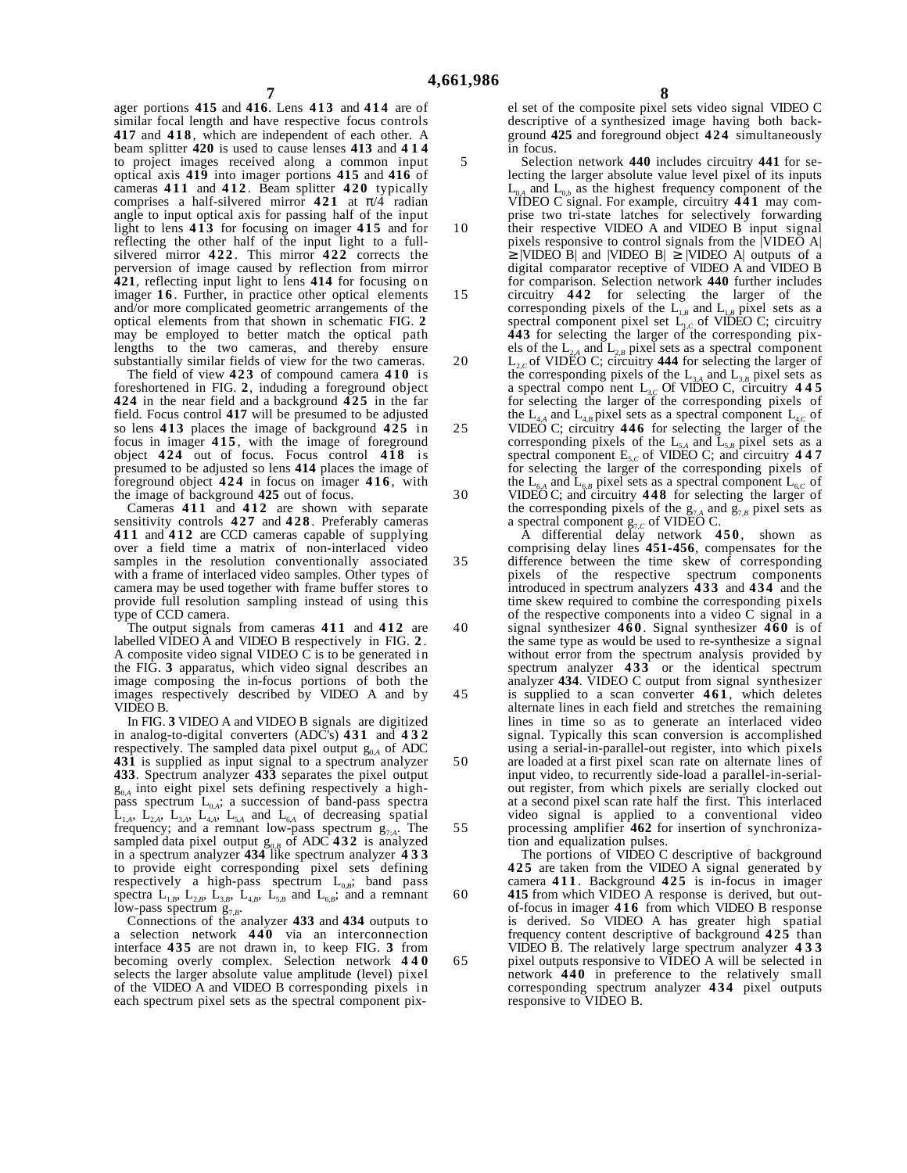10

15

20

25

30

35

40

45

50

55

60

65

ager portions **415** and **416**. Lens **413** and **414** are of similar focal length and have respective focus controls **417** and **418** , which are independent of each other. A beam splitter **420** is used to cause lenses **413** and **414** to project images received along a common input optical axis **419** into imager portions **415** and **416** of cameras **411** and **412** . Beam splitter **420** typically comprises a half-silvered mirror **421** at π/4 radian angle to input optical axis for passing half of the input light to lens **413** for focusing on imager **415** and for reflecting the other half of the input light to a fullsilvered mirror **422** . This mirror **422** corrects the perversion of image caused by reflection from mirror **421**, reflecting input light to lens **414** for focusing on imager 16. Further, in practice other optical elements and/or more complicated geometric arrangements of the optical elements from that shown in schematic FIG. **2** may be employed to better match the optical path lengths to the two cameras, and thereby ensure substantially similar fields of view for the two cameras.

The field of view **423** of compound camera **410** is foreshortened in FIG. **2**, induding a foreground object **424** in the near field and a background **425** in the far field. Focus control **417** will be presumed to be adjusted so lens **413** places the image of background **425** in focus in imager **415** , with the image of foreground object **424** out of focus. Focus control **418** is presumed to be adjusted so lens **414** places the image of foreground object **424** in focus on imager **416** , with the image of background **425** out of focus.

Cameras **411** and **412** are shown with separate sensitivity controls **427** and **428** . Preferably cameras **411** and **412** are CCD cameras capable of supplying over a field time a matrix of non-interlaced video samples in the resolution conventionally associated with a frame of interlaced video samples. Other types of camera may be used together with frame buffer stores to provide full resolution sampling instead of using this type of CCD camera.

The output signals from cameras **411** and **412** are labelled VIDEO A and VIDEO B respectively in FIG. **2** . A composite video signal VIDEO C is to be generated in the FIG. **3** apparatus, which video signal describes an image composing the in-focus portions of both the images respectively described by VIDEO A and by VIDEO B.

In FIG. **3** VIDEO A and VIDEO B signals are digitized in analog-to-digital converters (ADC's) **431** and **432** respectively. The sampled data pixel output  $g_{0,A}$  of ADC **431** is supplied as input signal to a spectrum analyzer **433**. Spectrum analyzer **433** separates the pixel output  $g_{0A}$  into eight pixel sets defining respectively a highpass spectrum  $L_{0,A}$ ; a succession of band-pass spectra  $\hat{\mathbf{L}}_{1,4}$ ,  $\mathbf{L}_{2,4}$ ,  $\mathbf{L}_{3,4}$ ,  $\mathbf{L}_{4,4}$ ,  $\mathbf{L}_{5,4}$  and  $\mathbf{L}_{6,4}$  of decreasing spatial frequency; and a remnant low-pass spectrum  $g_{7A}$ . The sampled data pixel output g0,*B* of ADC **432** is analyzed in a spectrum analyzer **434** like spectrum analyzer **433** to provide eight corresponding pixel sets defining respectively a high-pass spectrum  $L_{0,B}$ ; band pass spectra  $L_{1,B}$ ,  $L_{2,B}$ ,  $L_{3,B}$ ,  $L_{4,B}$ ,  $L_{5,B}$  and  $L_{6,B}$ ; and a remnant

low-pass spectrum  $g_{7,B}$ .<br>Connections of the analyzer **433** and **434** outputs to a selection network **440** via an interconnection interface **435** are not drawn in, to keep FIG. **3** from becoming overly complex. Selection network **440** selects the larger absolute value amplitude (level) pixel of the VIDEO A and VIDEO B corresponding pixels in each spectrum pixel sets as the spectral component pix**8**

el set of the composite pixel sets video signal VIDEO C descriptive of a synthesized image having both background **425** and foreground object **424** simultaneously in focus.

Selection network **440** includes circuitry **441** for selecting the larger absolute value level pixel of its inputs  $\frac{1}{4}$  and  $L_{0,b}$  as the highest frequency component of the VIDEO C signal. For example, circuitry **441** may comprise two tri-state latches for selectively forwarding

their respective VIDEO A and VIDEO B input signal pixels responsive to control signals from the |VIDEO A|  $\geq$  |VIDEO B| and |VIDEO B|  $\geq$  |VIDEO A| outputs of a digital comparator receptive of VIDEO A and VIDEO B for comparison. Selection network **440** further includes circuitry **442** for selecting the larger of the

corresponding pixels of the  $L_{1,B}$  and  $L_{1,B}$  pixel sets as a spectral component pixel set  $L_{1,C}$  of VIDEO C; circuitry **443** for selecting the larger of the corresponding pixels of the  $L_{2,A}$  and  $L_{2,B}$  pixel sets as a spectral component

 $L_{2,0}$  of VIDEO C; circuitry 444 for selecting the larger of the corresponding pixels of the  $L_{3,A}$  and  $L_{3,B}$  pixel sets as a spectral compo nent L3,*C* Of VIDEO C, circuitry **445** for selecting the larger of the corresponding pixels of the L<sub>4,*A*</sub> and L<sub>4,*B*</sub> pixel sets as a spectral component L<sub>4,*C*</sub> of VIDEO C; circuitry **446** for selecting the larger of the corresponding pixels of the  $L_{5A}$  and  $L_{5B}$  pixel sets as a spectral component  $E_{5,C}$  of VIDEO C; and circuitry **447** for selecting the larger of the corresponding pixels of the  $L_{6A}$  and  $L_{6B}$  pixel sets as a spectral component  $L_{6C}$  of VIDEO C; and circuitry **448** for selecting the larger of the corresponding pixels of the  $g_{7,A}$  and  $g_{7,B}$  pixel sets as

a spectral component  $g_{7,C}$  of VIDEO C. A differential delay network **450** , shown as comprising delay lines **451-456**, compensates for the difference between the time skew of corresponding pixels of the respective spectrum components introduced in spectrum analyzers **433** and **434** and the time skew required to combine the corresponding pixels of the respective components into a video C signal in a signal synthesizer **460** . Signal synthesizer **460** is of the same type as would be used to re-synthesize a signal without error from the spectrum analysis provided by spectrum analyzer **433** or the identical spectrum analyzer **434**. VIDEO C output from signal synthesizer is supplied to a scan converter **461** , which deletes alternate lines in each field and stretches the remaining lines in time so as to generate an interlaced video signal. Typically this scan conversion is accomplished using a serial-in-parallel-out register, into which pixels are loaded at a first pixel scan rate on alternate lines of input video, to recurrently side-load a parallel-in-serialout register, from which pixels are serially clocked out at a second pixel scan rate half the first. This interlaced video signal is applied to a conventional video processing amplifier **462** for insertion of synchronization and equalization pulses.

The portions of VIDEO C descriptive of background **425** are taken from the VIDEO A signal generated by camera **411** . Background **425** is in-focus in imager **415** from which VIDEO A response is derived, but outof-focus in imager **416** from which VIDEO B response is derived. So VIDEO A has greater high spatial frequency content descriptive of background **425** than VIDEO B. The relatively large spectrum analyzer **433** pixel outputs responsive to VIDEO A will be selected in network **440** in preference to the relatively small corresponding spectrum analyzer **434** pixel outputs responsive to VIDEO B.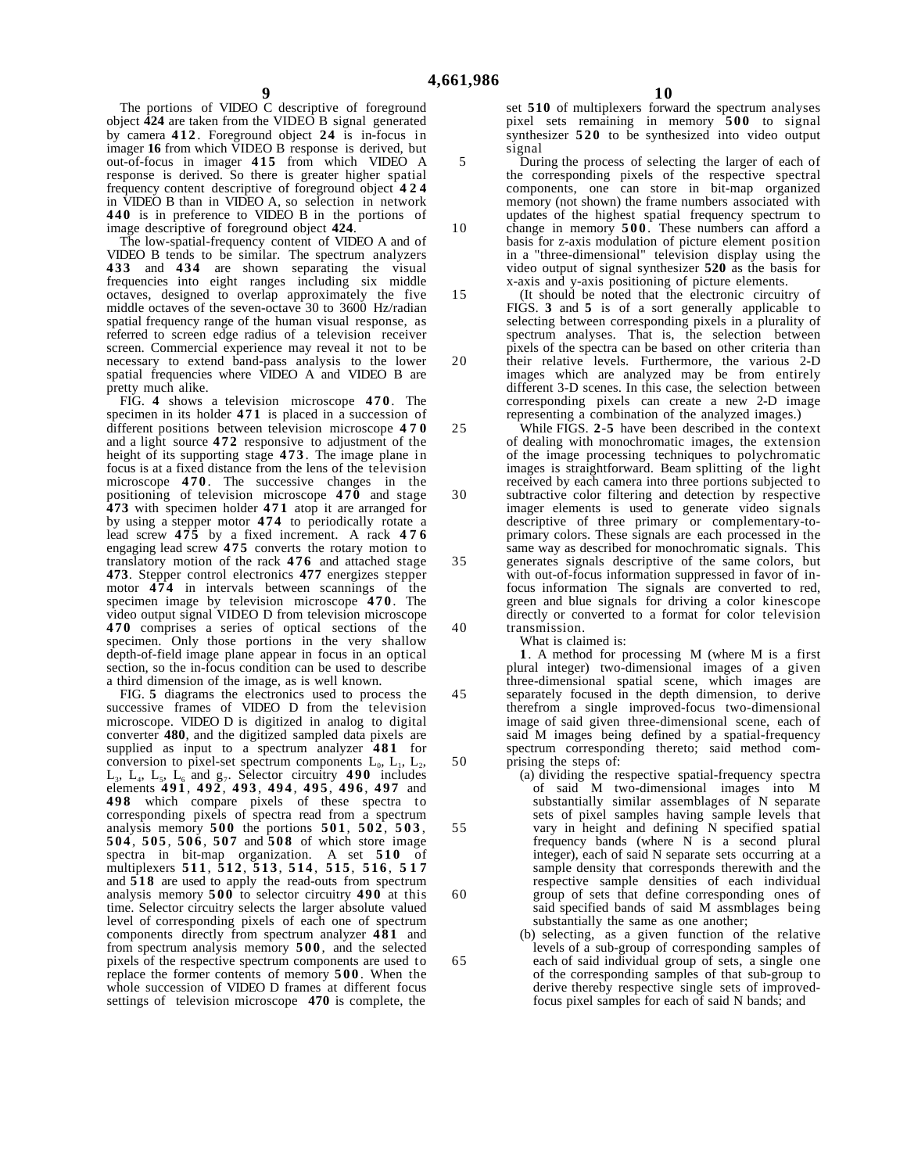10

15

20

The portions of VIDEO C descriptive of foreground object **424** are taken from the VIDEO B signal generated by camera **412** . Foreground object **24** is in-focus in imager **16** from which VIDEO B response is derived, but out-of-focus in imager **415** from which VIDEO A response is derived. So there is greater higher spatial frequency content descriptive of foreground object **424** in VIDEO B than in VIDEO A, so selection in network **440** is in preference to VIDEO B in the portions of image descriptive of foreground object **424**.

The low-spatial-frequency content of VIDEO A and of VIDEO B tends to be similar. The spectrum analyzers **433** and **434** are shown separating the visual frequencies into eight ranges including six middle octaves, designed to overlap approximately the five middle octaves of the seven-octave 30 to 3600 Hz/radian spatial frequency range of the human visual response, as referred to screen edge radius of a television receiver screen. Commercial experience may reveal it not to be necessary to extend band-pass analysis to the lower spatial frequencies where VIDEO A and VIDEO B are pretty much alike.

FIG. **4** shows a television microscope **470** . The specimen in its holder **471** is placed in a succession of different positions between television microscope **470** and a light source **472** responsive to adjustment of the height of its supporting stage **473** . The image plane in focus is at a fixed distance from the lens of the television microscope **470** . The successive changes in the positioning of television microscope **470** and stage **473** with specimen holder **471** atop it are arranged for by using a stepper motor **474** to periodically rotate a lead screw **475** by a fixed increment. A rack **476** engaging lead screw **475** converts the rotary motion to translatory motion of the rack **476** and attached stage **473**. Stepper control electronics **477** energizes stepper motor **474** in intervals between scannings of the specimen image by television microscope **470** . The video output signal VIDEO D from television microscope **470** comprises a series of optical sections of the specimen. Only those portions in the very shallow depth-of-field image plane appear in focus in an optical section, so the in-focus condition can be used to describe a third dimension of the image, as is well known.

FIG. **5** diagrams the electronics used to process the successive frames of VIDEO D from the television microscope. VIDEO D is digitized in analog to digital converter **480**, and the digitized sampled data pixels are supplied as input to a spectrum analyzer **481** for conversion to pixel-set spectrum components  $L_0$ ,  $L_1$ ,  $L_2$ , L3, L4, L5, L6 and g7. Selector circuitry **490** includes elements **491** , **492** , **493** , **494** , **495** , **496** , **497** and **498** which compare pixels of these spectra to corresponding pixels of spectra read from a spectrum analysis memory **500** the portions **501** , **502** , **503** , **504** , **505** , **506** , **507** and **508** of which store image spectra in bit-map organization. A set **510** of multiplexers **511** , **512** , **513** , **514** , **515** , **516** , **517** and **518** are used to apply the read-outs from spectrum analysis memory **500** to selector circuitry **490** at this time. Selector circuitry selects the larger absolute valued level of corresponding pixels of each one of spectrum components directly from spectrum analyzer **481** and from spectrum analysis memory **500** , and the selected pixels of the respective spectrum components are used to replace the former contents of memory **500** . When the whole succession of VIDEO D frames at different focus settings of television microscope **470** is complete, the

**10**

set **510** of multiplexers forward the spectrum analyses pixel sets remaining in memory **500** to signal synthesizer **520** to be synthesized into video output signal

During the process of selecting the larger of each of the corresponding pixels of the respective spectral components, one can store in bit-map organized memory (not shown) the frame numbers associated with

updates of the highest spatial frequency spectrum to change in memory **500** . These numbers can afford a basis for z-axis modulation of picture element position in a "three-dimensional" television display using the video output of signal synthesizer **520** as the basis for x-axis and y-axis positioning of picture elements.

(It should be noted that the electronic circuitry of FIGS. **3** and **5** is of a sort generally applicable to selecting between corresponding pixels in a plurality of spectrum analyses. That is, the selection between pixels of the spectra can be based on other criteria than their relative levels. Furthermore, the various 2-D images which are analyzed may be from entirely different 3-D scenes. In this case, the selection between corresponding pixels can create a new 2-D image representing a combination of the analyzed images.)

While FIGS. **2**-**5** have been described in the context of dealing with monochromatic images, the extension of the image processing techniques to polychromatic images is straightforward. Beam splitting of the light received by each camera into three portions subjected to subtractive color filtering and detection by respective imager elements is used to generate video signals descriptive of three primary or complementary-toprimary colors. These signals are each processed in the same way as described for monochromatic signals. This generates signals descriptive of the same colors, but with out-of-focus information suppressed in favor of infocus information The signals are converted to red, green and blue signals for driving a color kinescope directly or converted to a format for color television transmission.

What is claimed is:

**1**. A method for processing M (where M is a first plural integer) two-dimensional images of a given three-dimensional spatial scene, which images are separately focused in the depth dimension, to derive therefrom a single improved-focus two-dimensional image of said given three-dimensional scene, each of said M images being defined by a spatial-frequency spectrum corresponding thereto; said method comprising the steps of:

(a) dividing the respective spatial-frequency spectra of said M two-dimensional images into M substantially similar assemblages of N separate sets of pixel samples having sample levels that vary in height and defining N specified spatial frequency bands (where  $N$  is a second plural integer), each of said N separate sets occurring at a sample density that corresponds therewith and the respective sample densities of each individual group of sets that define corresponding ones of said specified bands of said M assmblages being substantially the same as one another;

(b) selecting, as a given function of the relative levels of a sub-group of corresponding samples of each of said individual group of sets, a single one of the corresponding samples of that sub-group to derive thereby respective single sets of improvedfocus pixel samples for each of said N bands; and

25

30

35

40

45

50

55

60